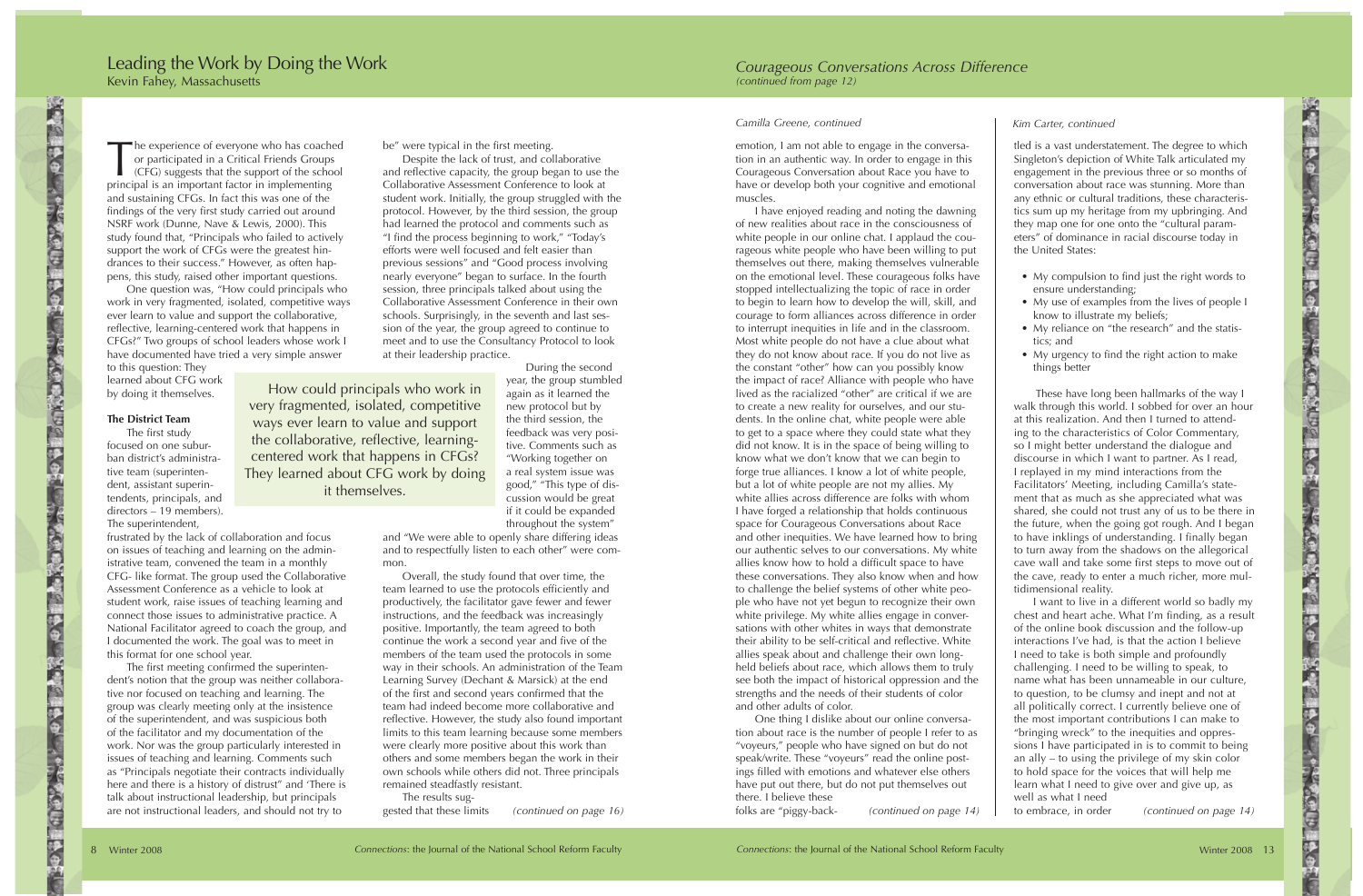he experience of everyone who has coached or participated in a Critical Friends Groups (CFG) suggests that the support of the school principal is an important factor in implementing and sustaining CFGs. In fact this was one of the findings of the very first study carried out around NSRF work (Dunne, Nave & Lewis, 2000). This study found that, "Principals who failed to actively support the work of CFGs were the greatest hindrances to their success." However, as often happens, this study, raised other important questions.

One question was, "How could principals who work in very fragmented, isolated, competitive ways ever learn to value and support the collaborative, reflective, learning-centered work that happens in CFGs?" Two groups of school leaders whose work I have documented have tried a very simple answer

to this question: They learned about CFG work by doing it themselves.

## **The District Team**

○ 今日 三 三 三 一 一 一

The first study focused on one suburban district's administrative team (superintendent, assistant superintendents, principals, and directors – 19 members). The superintendent,

frustrated by the lack of collaboration and focus on issues of teaching and learning on the administrative team, convened the team in a monthly CFG- like format. The group used the Collaborative Assessment Conference as a vehicle to look at student work, raise issues of teaching learning and connect those issues to administrative practice. A National Facilitator agreed to coach the group, and I documented the work. The goal was to meet in this format for one school year.

The first meeting confirmed the superintendent's notion that the group was neither collaborative nor focused on teaching and learning. The group was clearly meeting only at the insistence of the superintendent, and was suspicious both of the facilitator and my documentation of the work. Nor was the group particularly interested in issues of teaching and learning. Comments such as "Principals negotiate their contracts individually here and there is a history of distrust" and 'There is talk about instructional leadership, but principals are not instructional leaders, and should not try to

be" were typical in the first meeting.

Despite the lack of trust, and collaborative and reflective capacity, the group began to use the Collaborative Assessment Conference to look at student work. Initially, the group struggled with the protocol. However, by the third session, the group had learned the protocol and comments such as "I find the process beginning to work," "Today's efforts were well focused and felt easier than previous sessions" and "Good process involving nearly everyone" began to surface. In the fourth session, three principals talked about using the Collaborative Assessment Conference in their own schools. Surprisingly, in the seventh and last session of the year, the group agreed to continue to meet and to use the Consultancy Protocol to look at their leadership practice.

How could principals who work in very fragmented, isolated, competitive ways ever learn to value and support the collaborative, reflective, learningcentered work that happens in CFGs? They learned about CFG work by doing it themselves.

During the second year, the group stumbled again as it learned the new protocol but by the third session, the feedback was very positive. Comments such as "Working together on a real system issue was good," "This type of discussion would be great if it could be expanded throughout the system"

and "We were able to openly share differing ideas and to respectfully listen to each other" were common.

Overall, the study found that over time, the team learned to use the protocols efficiently and productively, the facilitator gave fewer and fewer instructions, and the feedback was increasingly positive. Importantly, the team agreed to both continue the work a second year and five of the members of the team used the protocols in some way in their schools. An administration of the Team Learning Survey (Dechant & Marsick) at the end of the first and second years confirmed that the team had indeed become more collaborative and reflective. However, the study also found important limits to this team learning because some members were clearly more positive about this work than others and some members began the work in their own schools while others did not. Three principals remained steadfastly resistant.

The results suggested that these limits *(continued on page 16)*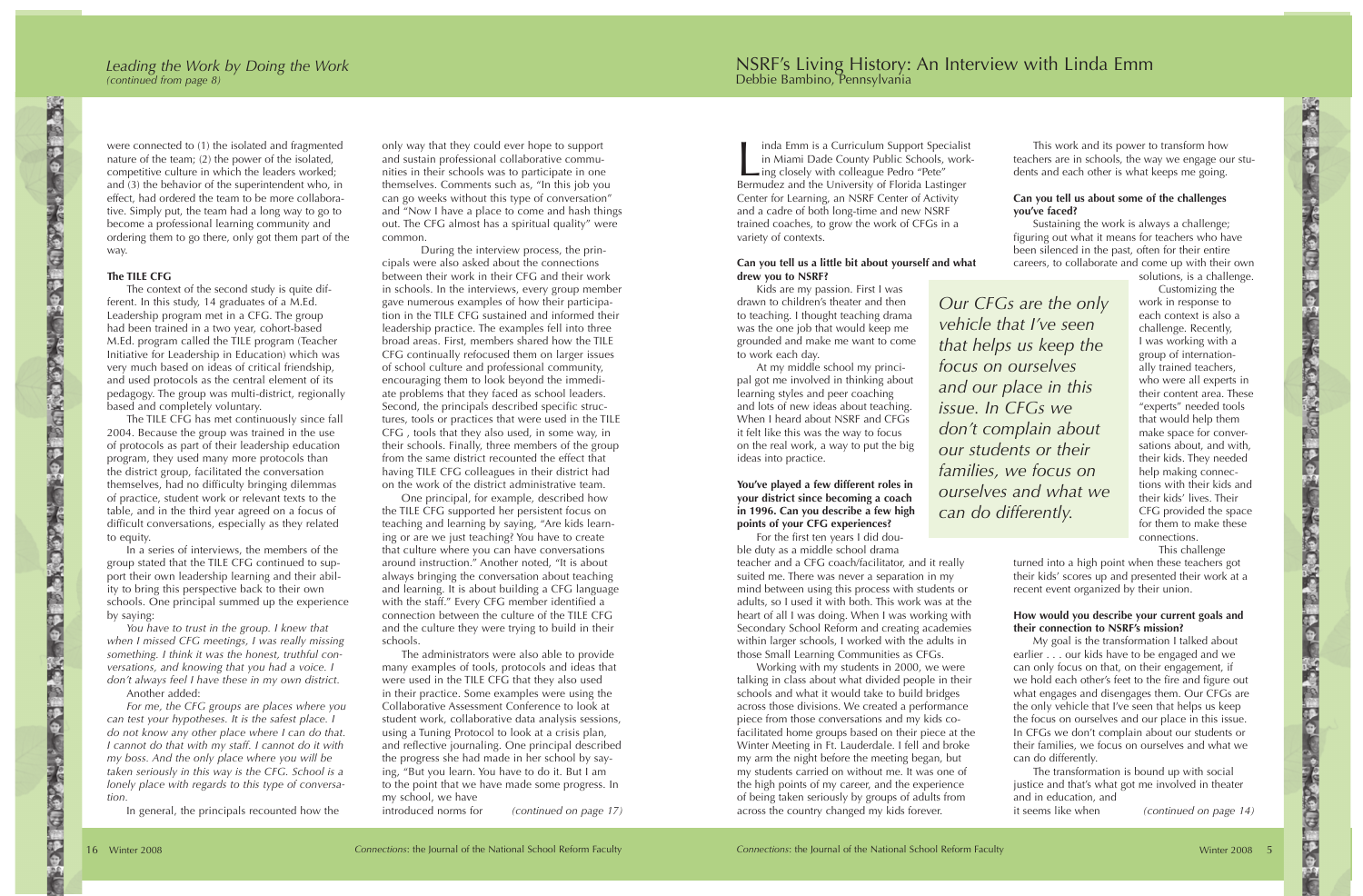were connected to (1) the isolated and fragmented nature of the team; (2) the power of the isolated, competitive culture in which the leaders worked; and (3) the behavior of the superintendent who, in effect, had ordered the team to be more collaborative. Simply put, the team had a long way to go to become a professional learning community and ordering them to go there, only got them part of the way.

## **The TILE CFG**

The context of the second study is quite different. In this study, 14 graduates of a M.Ed. Leadership program met in a CFG. The group had been trained in a two year, cohort-based M.Ed. program called the TILE program (Teacher Initiative for Leadership in Education) which was very much based on ideas of critical friendship, and used protocols as the central element of its pedagogy. The group was multi-district, regionally based and completely voluntary.

The TILE CFG has met continuously since fall 2004. Because the group was trained in the use of protocols as part of their leadership education program, they used many more protocols than the district group, facilitated the conversation themselves, had no difficulty bringing dilemmas of practice, student work or relevant texts to the table, and in the third year agreed on a focus of difficult conversations, especially as they related to equity.

In a series of interviews, the members of the group stated that the TILE CFG continued to support their own leadership learning and their ability to bring this perspective back to their own schools. One principal summed up the experience by saying:

*You have to trust in the group. I knew that when I missed CFG meetings, I was really missing something. I think it was the honest, truthful conversations, and knowing that you had a voice. I don't always feel I have these in my own district.*

Another added:

*For me, the CFG groups are places where you can test your hypotheses. It is the safest place. I do not know any other place where I can do that. I cannot do that with my staff. I cannot do it with my boss. And the only place where you will be taken seriously in this way is the CFG. School is a lonely place with regards to this type of conversation.*

In general, the principals recounted how the

only way that they could ever hope to support and sustain professional collaborative communities in their schools was to participate in one themselves. Comments such as, "In this job you can go weeks without this type of conversation" and "Now I have a place to come and hash things out. The CFG almost has a spiritual quality" were common.

During the interview process, the principals were also asked about the connections between their work in their CFG and their work in schools. In the interviews, every group member gave numerous examples of how their participation in the TILE CFG sustained and informed their leadership practice. The examples fell into three broad areas. First, members shared how the TILE CFG continually refocused them on larger issues of school culture and professional community, encouraging them to look beyond the immediate problems that they faced as school leaders. Second, the principals described specific structures, tools or practices that were used in the TILE CFG , tools that they also used, in some way, in their schools. Finally, three members of the group from the same district recounted the effect that having TILE CFG colleagues in their district had on the work of the district administrative team.

One principal, for example, described how the TILE CFG supported her persistent focus on teaching and learning by saying, "Are kids learning or are we just teaching? You have to create that culture where you can have conversations around instruction." Another noted, "It is about always bringing the conversation about teaching and learning. It is about building a CFG language with the staff." Every CFG member identified a connection between the culture of the TILE CFG and the culture they were trying to build in their schools.

The administrators were also able to provide many examples of tools, protocols and ideas that were used in the TILE CFG that they also used in their practice. Some examples were using the Collaborative Assessment Conference to look at student work, collaborative data analysis sessions, using a Tuning Protocol to look at a crisis plan, and reflective journaling. One principal described the progress she had made in her school by saying, "But you learn. You have to do it. But I am to the point that we have made some progress. In my school, we have introduced norms for

*(continued on page 17)*